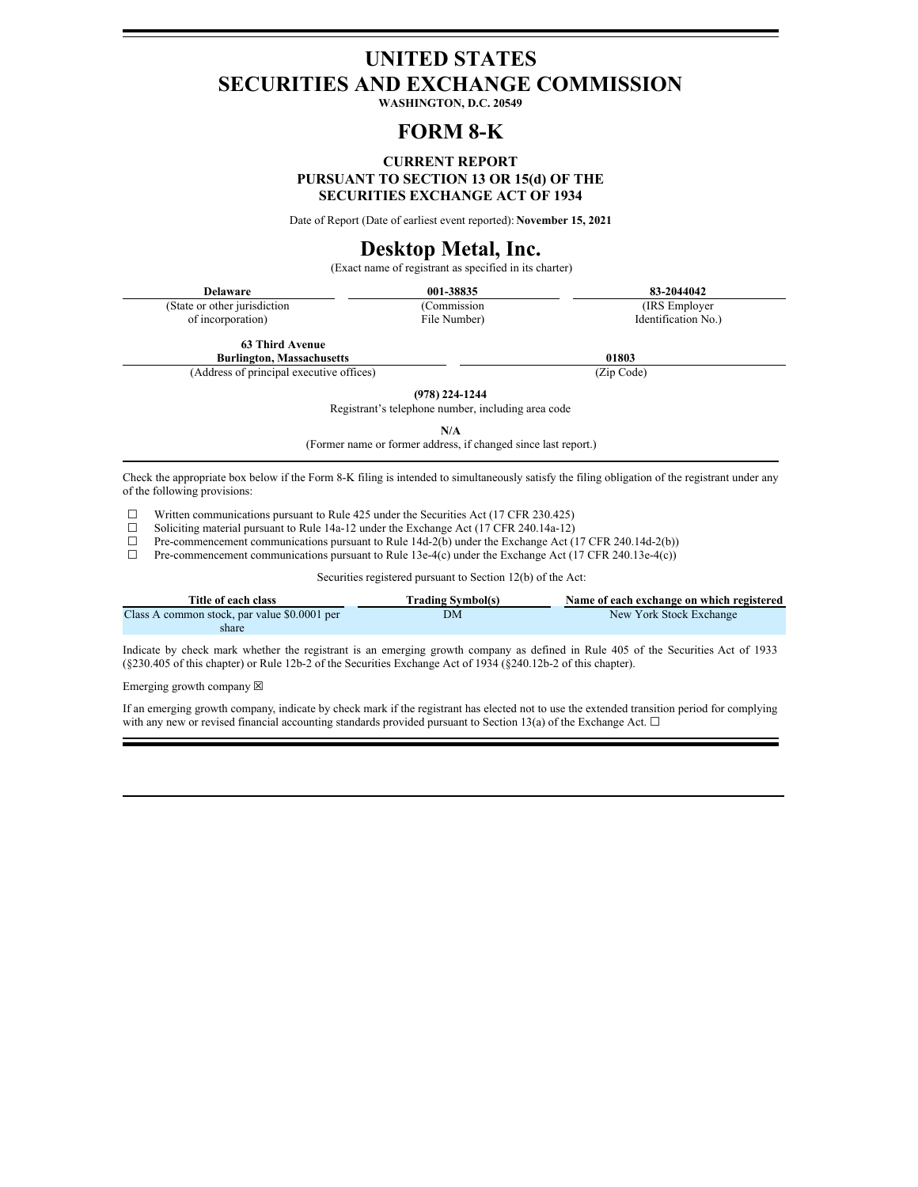# **UNITED STATES SECURITIES AND EXCHANGE COMMISSION**

**WASHINGTON, D.C. 20549**

## **FORM 8-K**

## **CURRENT REPORT PURSUANT TO SECTION 13 OR 15(d) OF THE SECURITIES EXCHANGE ACT OF 1934**

Date of Report (Date of earliest event reported): **November 15, 2021**

## **Desktop Metal, Inc.**

(Exact name of registrant as specified in its charter)

| <b>Delaware</b>               | 001-38835    | 83-2044042          |
|-------------------------------|--------------|---------------------|
| (State or other jurisdiction) | (Commission) | (IRS Employer)      |
| of incorporation)             | File Number) | Identification No.) |

**63 Third Avenue**

**Burlington, Massachusetts 01803**

(Address of principal executive offices) (Zip Code)

**(978) 224-1244** Registrant's telephone number, including area code

**N/A**

(Former name or former address, if changed since last report.)

Check the appropriate box below if the Form 8-K filing is intended to simultaneously satisfy the filing obligation of the registrant under any of the following provisions:

 $□$  Written communications pursuant to Rule 425 under the Securities Act (17 CFR 230.425)<br>
□ Soliciting material pursuant to Rule 14a-12 under the Exchange Act (17 CFR 240.14a-12) ☐

- □ Soliciting material pursuant to Rule 14a-12 under the Exchange Act (17 CFR 240.14a-12)<br>
Pre-commencement communications pursuant to Rule 14d-2(b) under the Exchange Act (1
- □ Pre-commencement communications pursuant to Rule 14d-2( $\bar{b}$ ) under the Exchange Act (17 CFR 240.14d-2(b)) □ Pre-commencement communications pursuant to Rule 13e-4(c) under the Exchange Act (17 CFR 240.13e-4(c))
- Pre-commencement communications pursuant to Rule 13e-4(c) under the Exchange Act (17 CFR 240.13e-4(c))

Securities registered pursuant to Section 12(b) of the Act:

| Title of each class                          | <b>Trading Symbol(s)</b> | Name of each exchange on which registered |
|----------------------------------------------|--------------------------|-------------------------------------------|
| Class A common stock, par value \$0.0001 per | DМ                       | New York Stock Exchange                   |
| share                                        |                          |                                           |

Indicate by check mark whether the registrant is an emerging growth company as defined in Rule 405 of the Securities Act of 1933 (§230.405 of this chapter) or Rule 12b-2 of the Securities Exchange Act of 1934 (§240.12b-2 of this chapter).

Emerging growth company  $\boxtimes$ 

If an emerging growth company, indicate by check mark if the registrant has elected not to use the extended transition period for complying with any new or revised financial accounting standards provided pursuant to Section 13(a) of the Exchange Act.  $\Box$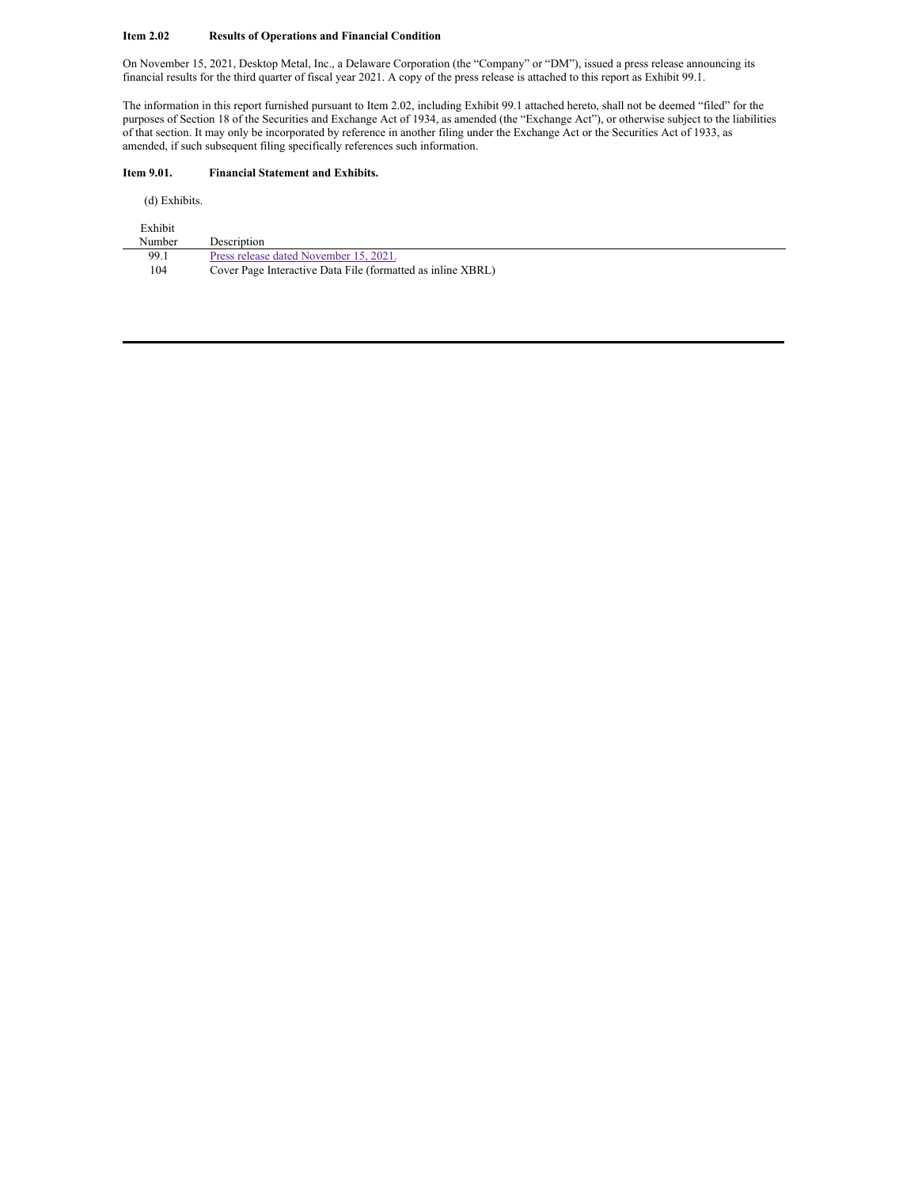### **Item 2.02 Results of Operations and Financial Condition**

On November 15, 2021, Desktop Metal, Inc., a Delaware Corporation (the "Company" or "DM"), issued a press release announcing its financial results for the third quarter of fiscal year 2021. A copy of the press release is attached to this report as Exhibit 99.1.

The information in this report furnished pursuant to Item 2.02, including Exhibit 99.1 attached hereto, shall not be deemed "filed" for the purposes of Section 18 of the Securities and Exchange Act of 1934, as amended (the "Exchange Act"), or otherwise subject to the liabilities of that section. It may only be incorporated by reference in another filing under the Exchange Act or the Securities Act of 1933, as amended, if such subsequent filing specifically references such information.

## **Item 9.01. Financial Statement and Exhibits.**

(d) Exhibits.

| Exhibit |                                                             |
|---------|-------------------------------------------------------------|
| Number  | Description                                                 |
| 99.1    | Press release dated November 15, 2021.                      |
| 104     | Cover Page Interactive Data File (formatted as inline XBRL) |
|         |                                                             |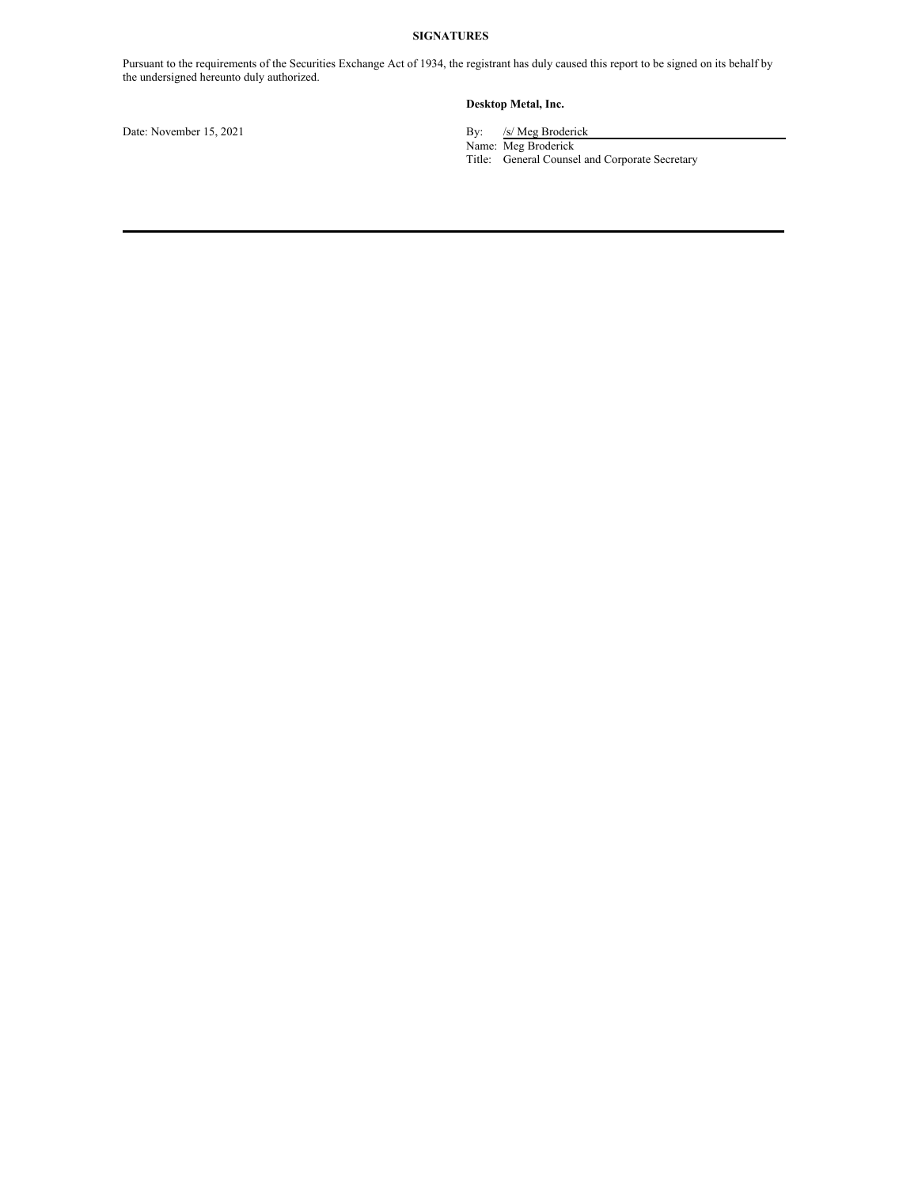## **SIGNATURES**

Pursuant to the requirements of the Securities Exchange Act of 1934, the registrant has duly caused this report to be signed on its behalf by the undersigned hereunto duly authorized.

## **Desktop Metal, Inc.**

Date: November 15, 2021 By: /s/ Meg Broderick

Name: Meg Broderick

Title: General Counsel and Corporate Secretary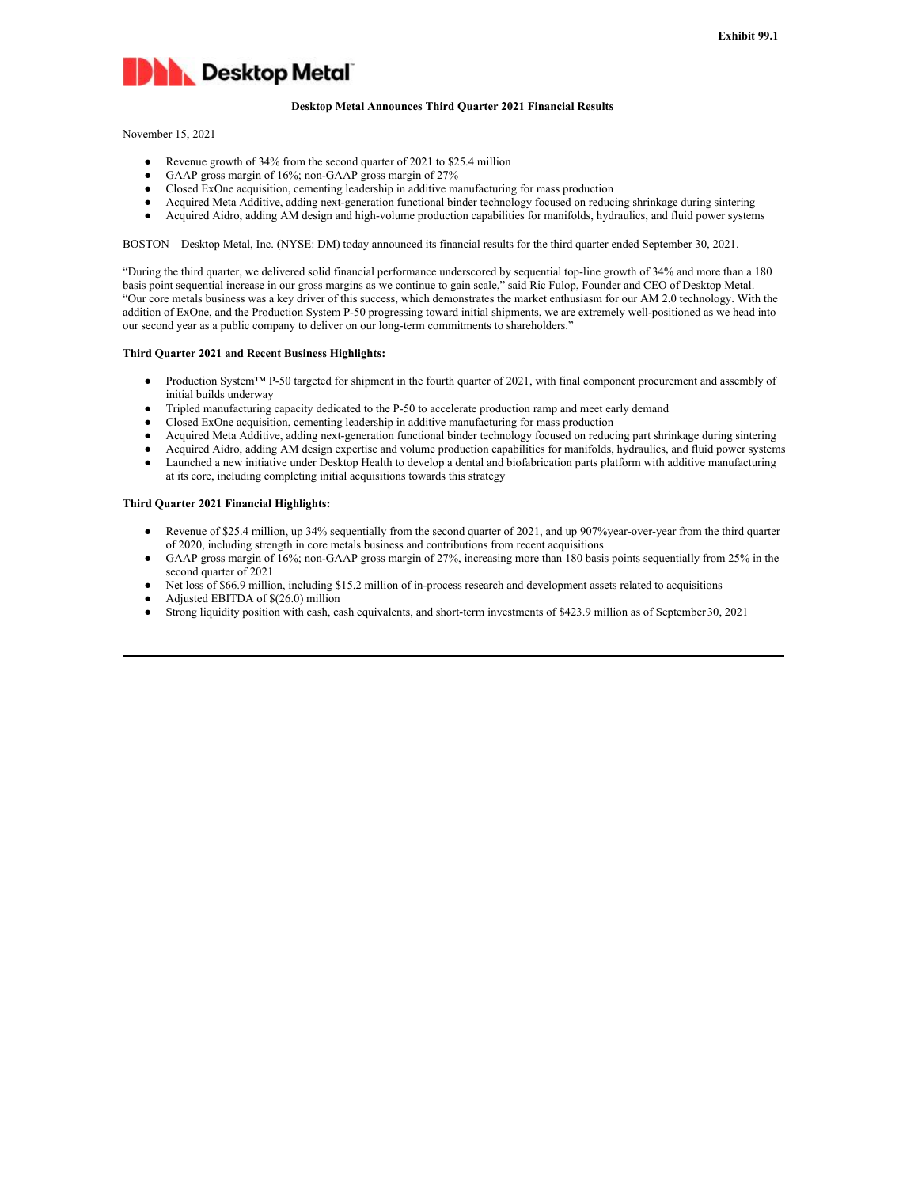

#### **Desktop Metal Announces Third Quarter 2021 Financial Results**

November 15, 2021

- Revenue growth of 34% from the second quarter of 2021 to \$25.4 million
- GAAP gross margin of 16%; non-GAAP gross margin of 27%
- Closed ExOne acquisition, cementing leadership in additive manufacturing for mass production
- Acquired Meta Additive, adding next-generation functional binder technology focused on reducing shrinkage during sintering
- Acquired Aidro, adding AM design and high-volume production capabilities for manifolds, hydraulics, and fluid power systems

BOSTON – Desktop Metal, Inc. (NYSE: DM) today announced its financial results for the third quarter ended September 30, 2021.

"During the third quarter, we delivered solid financial performance underscored by sequential top-line growth of 34% and more than a 180 basis point sequential increase in our gross margins as we continue to gain scale," said Ric Fulop, Founder and CEO of Desktop Metal. "Our core metals business was a key driver of this success, which demonstrates the market enthusiasm for our AM 2.0 technology. With the addition of ExOne, and the Production System P-50 progressing toward initial shipments, we are extremely well-positioned as we head into our second year as a public company to deliver on our long-term commitments to shareholders."

#### **Third Quarter 2021 and Recent Business Highlights:**

- Production System™ P-50 targeted for shipment in the fourth quarter of 2021, with final component procurement and assembly of initial builds underway
- Tripled manufacturing capacity dedicated to the P-50 to accelerate production ramp and meet early demand
- Closed ExOne acquisition, cementing leadership in additive manufacturing for mass production
- Acquired Meta Additive, adding next-generation functional binder technology focused on reducing part shrinkage during sintering
- Acquired Aidro, adding AM design expertise and volume production capabilities for manifolds, hydraulics, and fluid power systems
- Launched a new initiative under Desktop Health to develop a dental and biofabrication parts platform with additive manufacturing at its core, including completing initial acquisitions towards this strategy

#### **Third Quarter 2021 Financial Highlights:**

- Revenue of \$25.4 million, up 34% sequentially from the second quarter of 2021, and up 907% year-over-year from the third quarter of 2020, including strength in core metals business and contributions from recent acquisitions
- GAAP gross margin of 16%; non-GAAP gross margin of 27%, increasing more than 180 basis points sequentially from 25% in the second quarter of 2021
- Net loss of \$66.9 million, including \$15.2 million of in-process research and development assets related to acquisitions
- Adjusted EBITDA of \$(26.0) million
- Strong liquidity position with cash, cash equivalents, and short-term investments of \$423.9 million as of September30, 2021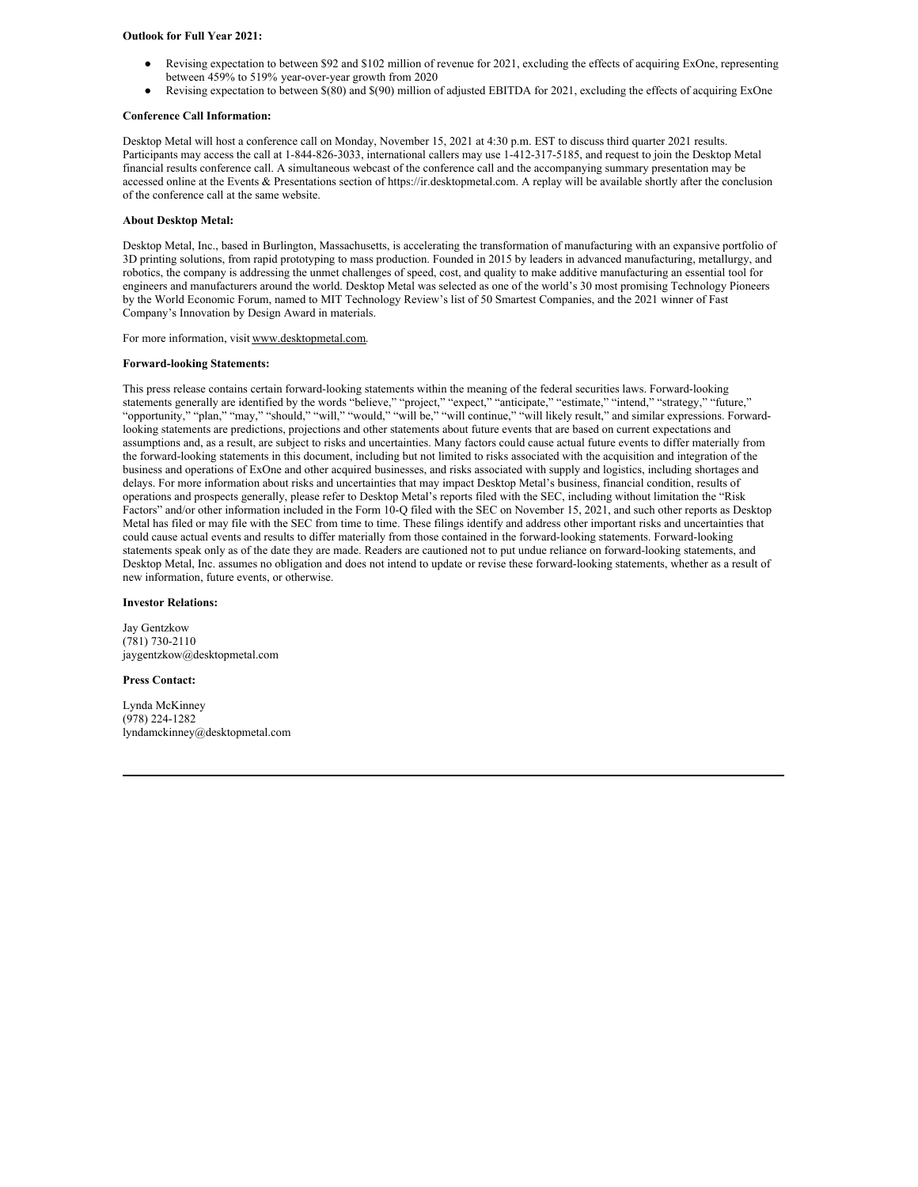#### **Outlook for Full Year 2021:**

- Revising expectation to between \$92 and \$102 million of revenue for 2021, excluding the effects of acquiring ExOne, representing between 459% to 519% year-over-year growth from 2020
- Revising expectation to between \$(80) and \$(90) million of adjusted EBITDA for 2021, excluding the effects of acquiring ExOne

#### **Conference Call Information:**

Desktop Metal will host a conference call on Monday, November 15, 2021 at 4:30 p.m. EST to discuss third quarter 2021 results. Participants may access the call at 1-844-826-3033, international callers may use 1-412-317-5185, and request to join the Desktop Metal financial results conference call. A simultaneous webcast of the conference call and the accompanying summary presentation may be accessed online at the Events & Presentations section of https://ir.desktopmetal.com. A replay will be available shortly after the conclusion of the conference call at the same website.

#### **About Desktop Metal:**

Desktop Metal, Inc., based in Burlington, Massachusetts, is accelerating the transformation of manufacturing with an expansive portfolio of 3D printing solutions, from rapid prototyping to mass production. Founded in 2015 by leaders in advanced manufacturing, metallurgy, and robotics, the company is addressing the unmet challenges of speed, cost, and quality to make additive manufacturing an essential tool for engineers and manufacturers around the world. Desktop Metal was selected as one of the world's 30 most promising Technology Pioneers by the World Economic Forum, named to MIT Technology Review's list of 50 Smartest Companies, and the 2021 winner of Fast Company's Innovation by Design Award in materials.

For more information, visit www.desktopmetal.com.

#### **Forward-looking Statements:**

This press release contains certain forward-looking statements within the meaning of the federal securities laws. Forward-looking statements generally are identified by the words "believe," "project," "expect," "anticipate," "estimate," "intend," "strategy," "future," "opportunity," "plan," "may," "should," "will," "would," "will be," "will continue," "will likely result," and similar expressions. Forwardlooking statements are predictions, projections and other statements about future events that are based on current expectations and assumptions and, as a result, are subject to risks and uncertainties. Many factors could cause actual future events to differ materially from the forward-looking statements in this document, including but not limited to risks associated with the acquisition and integration of the business and operations of ExOne and other acquired businesses, and risks associated with supply and logistics, including shortages and delays. For more information about risks and uncertainties that may impact Desktop Metal's business, financial condition, results of operations and prospects generally, please refer to Desktop Metal's reports filed with the SEC, including without limitation the "Risk Factors" and/or other information included in the Form 10-Q filed with the SEC on November 15, 2021, and such other reports as Desktop Metal has filed or may file with the SEC from time to time. These filings identify and address other important risks and uncertainties that could cause actual events and results to differ materially from those contained in the forward-looking statements. Forward-looking statements speak only as of the date they are made. Readers are cautioned not to put undue reliance on forward-looking statements, and Desktop Metal, Inc. assumes no obligation and does not intend to update or revise these forward-looking statements, whether as a result of new information, future events, or otherwise.

#### **Investor Relations:**

Jay Gentzkow (781) 730-2110 jaygentzkow@desktopmetal.com

#### **Press Contact:**

Lynda McKinney (978) 224-1282 lyndamckinney@desktopmetal.com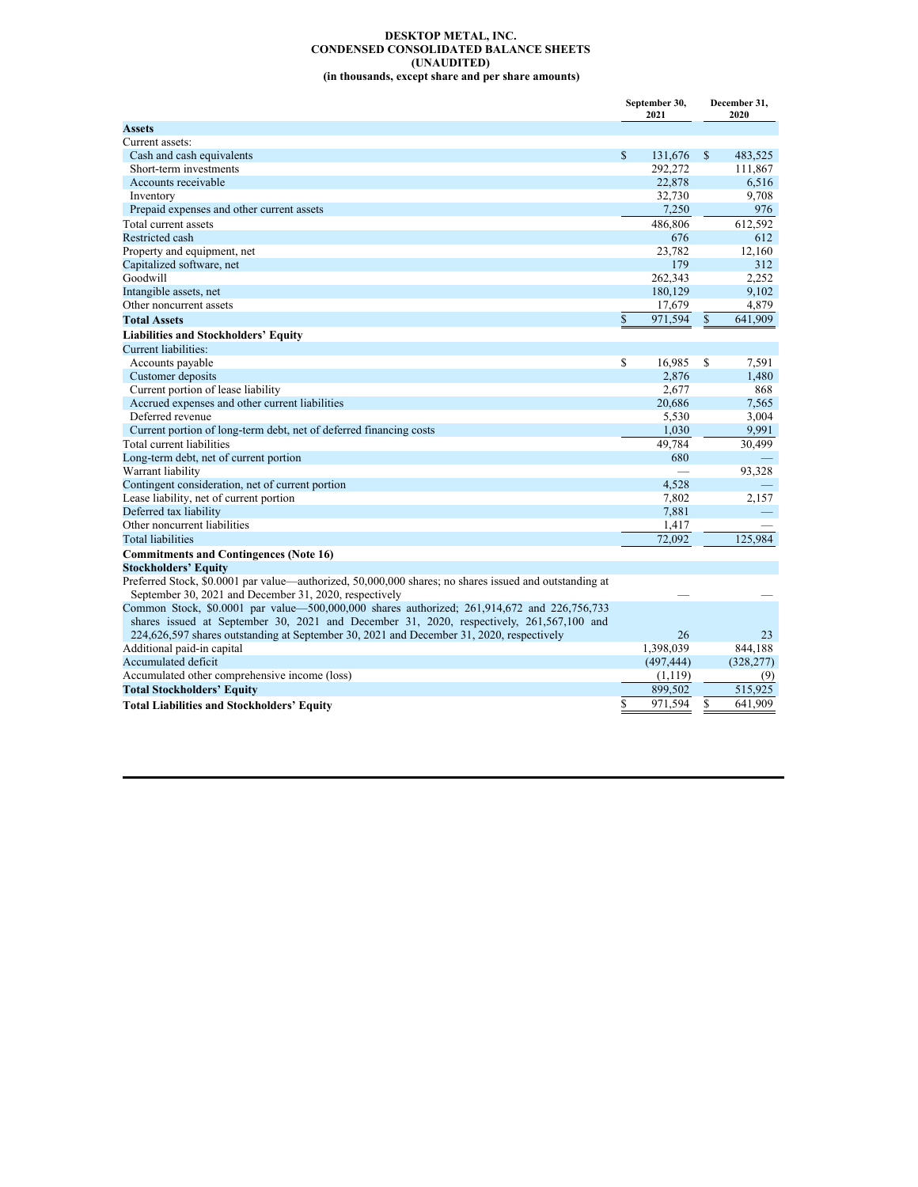#### **DESKTOP METAL, INC. CONDENSED CONSOLIDATED BALANCE SHEETS (UNAUDITED) (in thousands, except share and per share amounts)**

|                                                                                                                                                                  |               | September 30,<br>2021 |              | December 31,<br>2020 |
|------------------------------------------------------------------------------------------------------------------------------------------------------------------|---------------|-----------------------|--------------|----------------------|
| <b>Assets</b>                                                                                                                                                    |               |                       |              |                      |
| Current assets:                                                                                                                                                  |               |                       |              |                      |
| Cash and cash equivalents                                                                                                                                        | $\mathbb{S}$  | 131,676               | $\mathbf S$  | 483,525              |
| Short-term investments                                                                                                                                           |               | 292,272               |              | 111,867              |
| Accounts receivable                                                                                                                                              |               | 22,878                |              | 6,516                |
| Inventory                                                                                                                                                        |               | 32,730                |              | 9,708                |
| Prepaid expenses and other current assets                                                                                                                        |               | 7,250                 |              | 976                  |
| Total current assets                                                                                                                                             |               | 486,806               |              | 612,592              |
| Restricted cash                                                                                                                                                  |               | 676                   |              | 612                  |
| Property and equipment, net                                                                                                                                      |               | 23,782                |              | 12,160               |
| Capitalized software, net                                                                                                                                        |               | 179                   |              | 312                  |
| Goodwill                                                                                                                                                         |               | 262,343               |              | 2,252                |
| Intangible assets, net                                                                                                                                           |               | 180,129               |              | 9,102                |
| Other noncurrent assets                                                                                                                                          |               | 17,679                |              | 4,879                |
| <b>Total Assets</b>                                                                                                                                              | $\mathsf{\$}$ | 971,594               | $\mathbb{S}$ | 641.909              |
| <b>Liabilities and Stockholders' Equity</b>                                                                                                                      |               |                       |              |                      |
| Current liabilities:                                                                                                                                             |               |                       |              |                      |
| Accounts payable                                                                                                                                                 | \$            | 16,985                | S            | 7,591                |
| Customer deposits                                                                                                                                                |               | 2.876                 |              | 1,480                |
| Current portion of lease liability                                                                                                                               |               | 2,677                 |              | 868                  |
| Accrued expenses and other current liabilities                                                                                                                   |               | 20,686                |              | 7,565                |
| Deferred revenue                                                                                                                                                 |               | 5,530                 |              | 3,004                |
| Current portion of long-term debt, net of deferred financing costs                                                                                               |               | 1,030                 |              | 9,991                |
| Total current liabilities                                                                                                                                        |               | 49,784                |              | 30,499               |
| Long-term debt, net of current portion                                                                                                                           |               | 680                   |              |                      |
| Warrant liability                                                                                                                                                |               |                       |              | 93,328               |
| Contingent consideration, net of current portion                                                                                                                 |               | 4.528                 |              |                      |
| Lease liability, net of current portion                                                                                                                          |               | 7,802                 |              | 2,157                |
| Deferred tax liability                                                                                                                                           |               | 7,881                 |              |                      |
| Other noncurrent liabilities                                                                                                                                     |               | 1,417                 |              |                      |
| <b>Total liabilities</b>                                                                                                                                         |               | 72,092                |              | 125.984              |
| <b>Commitments and Contingences (Note 16)</b>                                                                                                                    |               |                       |              |                      |
| <b>Stockholders' Equity</b>                                                                                                                                      |               |                       |              |                      |
| Preferred Stock, \$0,0001 par value—authorized, 50,000,000 shares; no shares issued and outstanding at<br>September 30, 2021 and December 31, 2020, respectively |               |                       |              |                      |
| Common Stock, \$0.0001 par value—500,000,000 shares authorized; 261,914,672 and 226,756,733                                                                      |               |                       |              |                      |
| shares issued at September 30, 2021 and December 31, 2020, respectively, 261,567,100 and                                                                         |               |                       |              |                      |
| 224,626,597 shares outstanding at September 30, 2021 and December 31, 2020, respectively                                                                         |               | 26                    |              | 23                   |
| Additional paid-in capital                                                                                                                                       |               | 1,398,039             |              | 844.188              |
| Accumulated deficit                                                                                                                                              |               | (497, 444)            |              | (328, 277)           |
| Accumulated other comprehensive income (loss)                                                                                                                    |               | (1,119)               |              | (9)                  |
| <b>Total Stockholders' Equity</b>                                                                                                                                |               | 899,502               |              | 515,925              |
| <b>Total Liabilities and Stockholders' Equity</b>                                                                                                                | \$            | 971,594               | S            | 641.909              |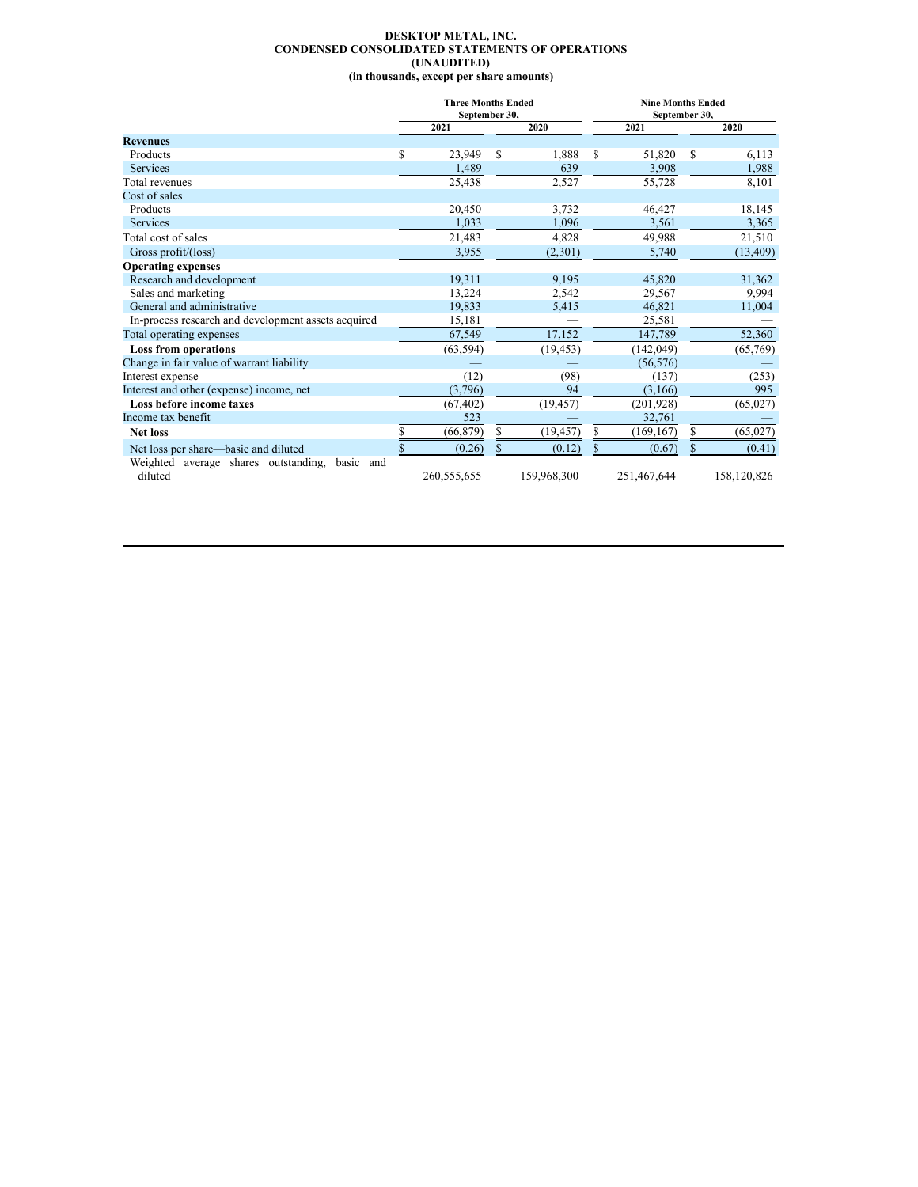#### **DESKTOP METAL, INC. CONDENSED CONSOLIDATED STATEMENTS OF OPERATIONS (UNAUDITED) (in thousands, except per share amounts)**

|                                                                 | <b>Three Months Ended</b><br>September 30, |    |             |    |             | <b>Nine Months Ended</b><br>September 30, |             |  |  |
|-----------------------------------------------------------------|--------------------------------------------|----|-------------|----|-------------|-------------------------------------------|-------------|--|--|
|                                                                 | 2021                                       |    | 2020        |    | 2021        |                                           | 2020        |  |  |
| <b>Revenues</b>                                                 |                                            |    |             |    |             |                                           |             |  |  |
| Products                                                        | \$<br>23,949                               | S  | 1,888       | S  | 51,820      | S                                         | 6,113       |  |  |
| <b>Services</b>                                                 | 1,489                                      |    | 639         |    | 3,908       |                                           | 1,988       |  |  |
| Total revenues                                                  | 25,438                                     |    | 2,527       |    | 55,728      |                                           | 8,101       |  |  |
| Cost of sales                                                   |                                            |    |             |    |             |                                           |             |  |  |
| Products                                                        | 20,450                                     |    | 3,732       |    | 46,427      |                                           | 18,145      |  |  |
| <b>Services</b>                                                 | 1,033                                      |    | 1,096       |    | 3,561       |                                           | 3,365       |  |  |
| Total cost of sales                                             | 21,483                                     |    | 4,828       |    | 49,988      |                                           | 21,510      |  |  |
| Gross profit/(loss)                                             | 3,955                                      |    | (2,301)     |    | 5,740       |                                           | (13, 409)   |  |  |
| <b>Operating expenses</b>                                       |                                            |    |             |    |             |                                           |             |  |  |
| Research and development                                        | 19,311                                     |    | 9,195       |    | 45,820      |                                           | 31,362      |  |  |
| Sales and marketing                                             | 13,224                                     |    | 2,542       |    | 29,567      |                                           | 9,994       |  |  |
| General and administrative                                      | 19,833                                     |    | 5,415       |    | 46,821      |                                           | 11,004      |  |  |
| In-process research and development assets acquired             | 15,181                                     |    |             |    | 25,581      |                                           |             |  |  |
| Total operating expenses                                        | 67,549                                     |    | 17,152      |    | 147,789     |                                           | 52,360      |  |  |
| <b>Loss from operations</b>                                     | (63, 594)                                  |    | (19, 453)   |    | (142, 049)  |                                           | (65,769)    |  |  |
| Change in fair value of warrant liability                       |                                            |    |             |    | (56, 576)   |                                           |             |  |  |
| Interest expense                                                | (12)                                       |    | (98)        |    | (137)       |                                           | (253)       |  |  |
| Interest and other (expense) income, net                        | (3,796)                                    |    | 94          |    | (3,166)     |                                           | 995         |  |  |
| Loss before income taxes                                        | (67, 402)                                  |    | (19, 457)   |    | (201, 928)  |                                           | (65, 027)   |  |  |
| Income tax benefit                                              | 523                                        |    |             |    | 32,761      |                                           |             |  |  |
| <b>Net loss</b>                                                 | \$<br>(66, 879)                            | S. | (19, 457)   | S  | (169, 167)  | \$                                        | (65,027)    |  |  |
| Net loss per share—basic and diluted                            | \$<br>(0.26)                               |    | (0.12)      | \$ | (0.67)      | \$                                        | (0.41)      |  |  |
| Weighted<br>average shares outstanding,<br>basic and<br>diluted | 260,555,655                                |    | 159,968,300 |    | 251,467,644 |                                           | 158,120,826 |  |  |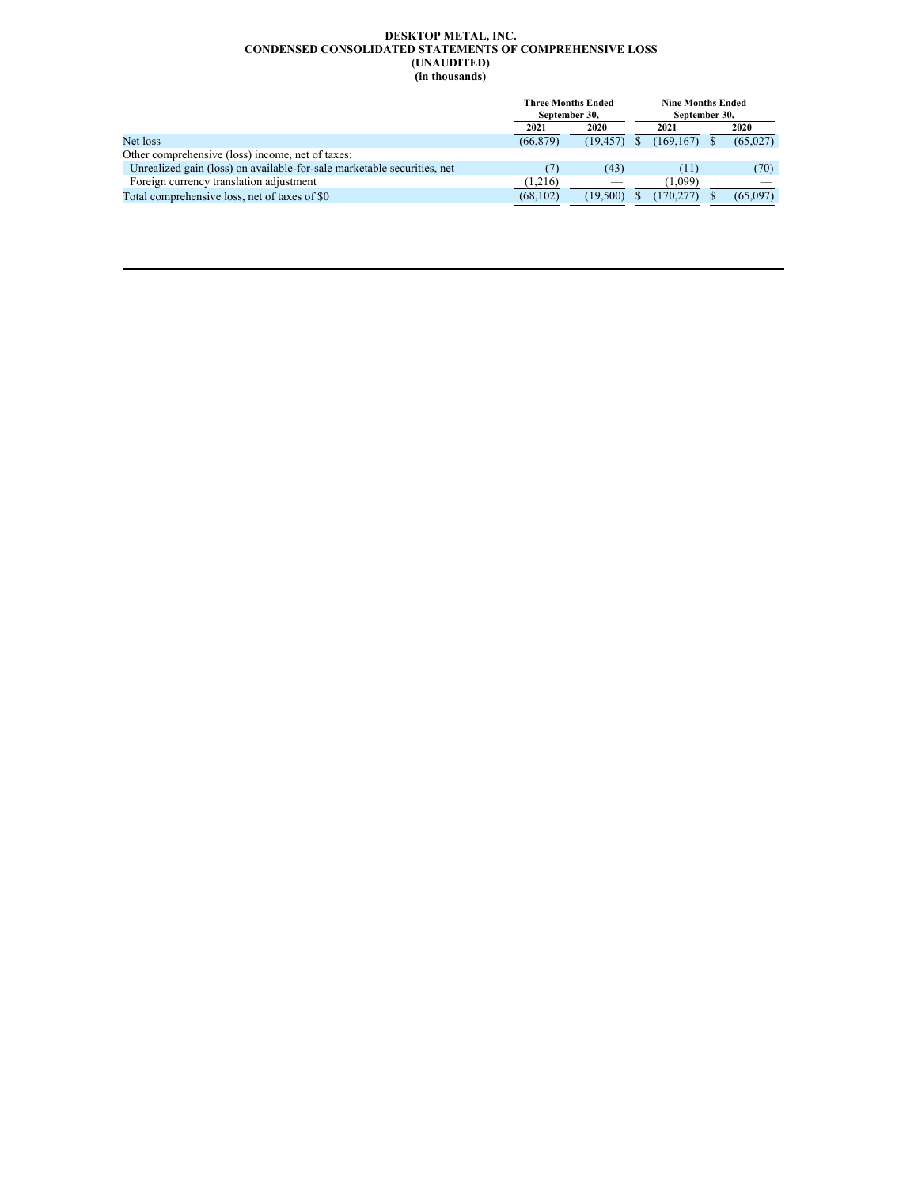#### **DESKTOP METAL, INC. CONDENSED CONSOLIDATED STATEMENTS OF COMPREHENSIVE LOSS (UNAUDITED) (in thousands)**

|                                                                         | <b>Three Months Ended</b><br>September 30, |                          |           | <b>Nine Months Ended</b><br>September 30, |  |          |
|-------------------------------------------------------------------------|--------------------------------------------|--------------------------|-----------|-------------------------------------------|--|----------|
|                                                                         | 2021                                       |                          | 2020      |                                           |  |          |
| Net loss                                                                | (66, 879)                                  | (19.457)                 | (169.167) |                                           |  | (65,027) |
| Other comprehensive (loss) income, net of taxes:                        |                                            |                          |           |                                           |  |          |
| Unrealized gain (loss) on available-for-sale marketable securities, net |                                            | (43)                     |           | (11)                                      |  | (70)     |
| Foreign currency translation adjustment                                 | (1,216)                                    | $\overline{\phantom{a}}$ |           | (1.099)                                   |  |          |
| Total comprehensive loss, net of taxes of \$0                           | (68, 102)                                  | (19.500)                 | (170.277) |                                           |  | (65.097) |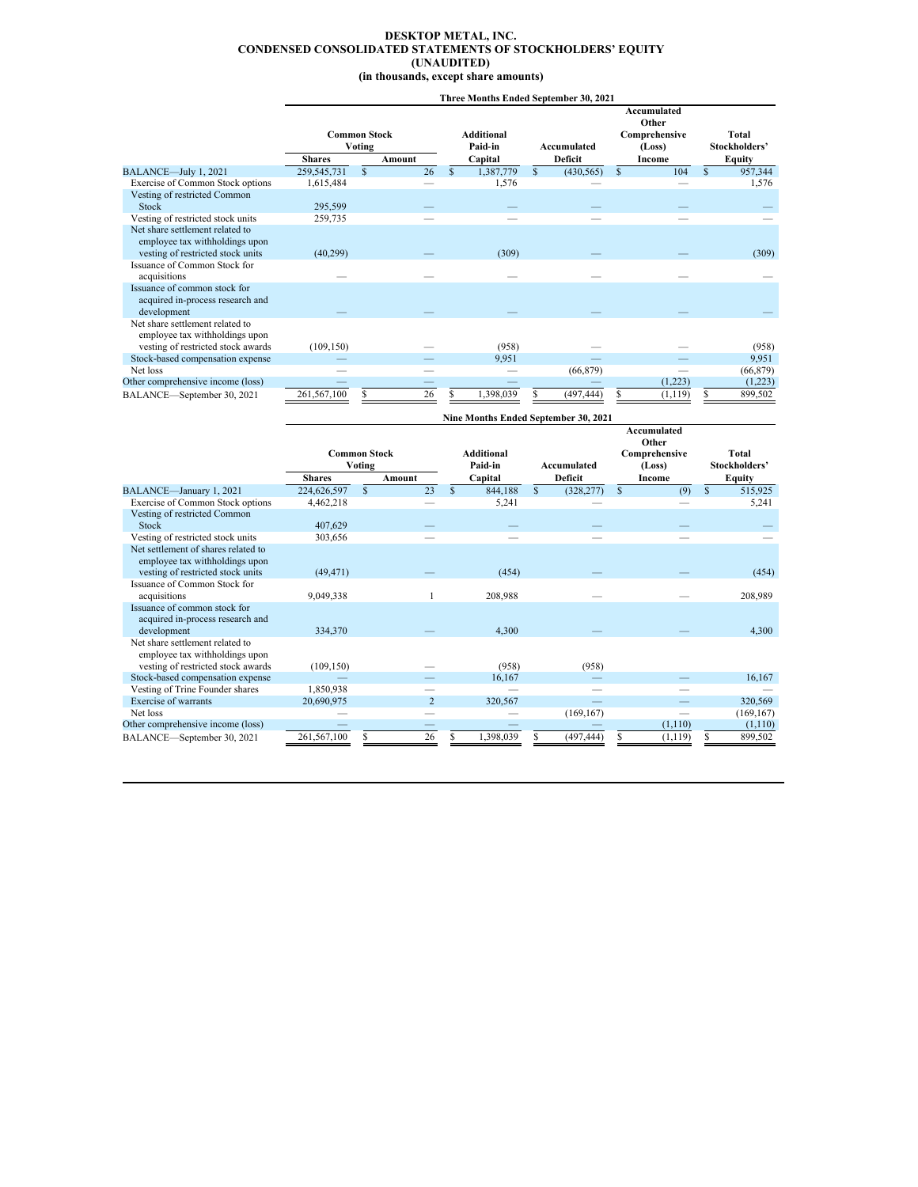#### <span id="page-8-0"></span>**DESKTOP METAL, INC. CONDENSED CONSOLIDATED STATEMENTS OF STOCKHOLDERS' EQUITY (UNAUDITED) (in thousands, except share amounts)**

# **Three Months Ended September 30, 2021**

|                                                                   |               |                     |    |     |            |               |                                      |          | Accumulated            |               |               |  |
|-------------------------------------------------------------------|---------------|---------------------|----|-----|------------|---------------|--------------------------------------|----------|------------------------|---------------|---------------|--|
|                                                                   |               | <b>Common Stock</b> |    |     | Additional |               |                                      |          | Other<br>Comprehensive |               | Total         |  |
|                                                                   |               | Voting              |    |     | Paid-in    |               | Accumulated                          |          | (Loss)                 | Stockholders' |               |  |
|                                                                   | <b>Shares</b> | Amount              |    |     | Capital    |               | Deficit                              |          | Income                 |               | <b>Equity</b> |  |
| BALANCE-July 1, 2021                                              | 259, 545, 731 | $\mathbf{s}$        | 26 | \$. | 1,387,779  | $\mathcal{S}$ | (430, 565)                           | <b>S</b> | 104                    | $\mathcal{S}$ | 957,344       |  |
| Exercise of Common Stock options                                  | 1,615,484     |                     |    |     | 1,576      |               |                                      |          |                        |               | 1,576         |  |
| Vesting of restricted Common                                      |               |                     |    |     |            |               |                                      |          |                        |               |               |  |
| Stock                                                             | 295,599       |                     |    |     |            |               |                                      |          |                        |               |               |  |
| Vesting of restricted stock units                                 | 259,735       |                     |    |     |            |               |                                      |          |                        |               |               |  |
| Net share settlement related to                                   |               |                     |    |     |            |               |                                      |          |                        |               |               |  |
| employee tax withholdings upon                                    |               |                     |    |     |            |               |                                      |          |                        |               |               |  |
| vesting of restricted stock units                                 | (40, 299)     |                     |    |     | (309)      |               |                                      |          |                        |               | (309)         |  |
| Issuance of Common Stock for                                      |               |                     |    |     |            |               |                                      |          |                        |               |               |  |
| acquisitions                                                      |               |                     |    |     |            |               |                                      |          |                        |               |               |  |
| Issuance of common stock for                                      |               |                     |    |     |            |               |                                      |          |                        |               |               |  |
| acquired in-process research and                                  |               |                     |    |     |            |               |                                      |          |                        |               |               |  |
| development                                                       |               |                     |    |     |            |               |                                      |          |                        |               |               |  |
| Net share settlement related to<br>employee tax withholdings upon |               |                     |    |     |            |               |                                      |          |                        |               |               |  |
| vesting of restricted stock awards                                | (109, 150)    |                     |    |     | (958)      |               |                                      |          |                        |               | (958)         |  |
| Stock-based compensation expense                                  |               |                     |    |     | 9,951      |               |                                      |          |                        |               | 9,951         |  |
| Net loss                                                          |               |                     |    |     |            |               | (66, 879)                            |          |                        |               | (66, 879)     |  |
| Other comprehensive income (loss)                                 |               |                     |    |     |            |               |                                      |          | (1,223)                |               | (1,223)       |  |
| BALANCE-September 30, 2021                                        | 261,567,100   | S                   | 26 | S.  | 1,398,039  |               | (497, 444)                           |          | (1, 119)               | S             | 899,502       |  |
|                                                                   |               |                     |    |     |            |               | Nine Months Ended September 30, 2021 |          |                        |               |               |  |

|                                                                          |                     |        |                |              |                              |              |                |               | Accumulated<br>Other    |              |                        |  |
|--------------------------------------------------------------------------|---------------------|--------|----------------|--------------|------------------------------|--------------|----------------|---------------|-------------------------|--------------|------------------------|--|
|                                                                          | <b>Common Stock</b> | Voting |                |              | <b>Additional</b><br>Paid-in |              | Accumulated    |               | Comprehensive<br>(Loss) |              | Total<br>Stockholders' |  |
|                                                                          | <b>Shares</b>       |        | Amount         |              | Capital                      |              | <b>Deficit</b> |               | Income                  | Equity       |                        |  |
| BALANCE-January 1, 2021                                                  | 224,626,597         | S      | 23             | $\mathbf{s}$ | 844,188                      | $\mathbf{s}$ | (328, 277)     | $\mathcal{S}$ | (9)                     | $\mathbb{S}$ | 515,925                |  |
| Exercise of Common Stock options                                         | 4,462,218           |        |                |              | 5,241                        |              |                |               |                         |              | 5,241                  |  |
| Vesting of restricted Common<br>Stock                                    | 407.629             |        |                |              |                              |              |                |               |                         |              |                        |  |
|                                                                          |                     |        |                |              |                              |              |                |               |                         |              |                        |  |
| Vesting of restricted stock units<br>Net settlement of shares related to | 303,656             |        |                |              |                              |              |                |               |                         |              |                        |  |
|                                                                          |                     |        |                |              |                              |              |                |               |                         |              |                        |  |
| employee tax withholdings upon                                           |                     |        |                |              |                              |              |                |               |                         |              |                        |  |
| vesting of restricted stock units<br>Issuance of Common Stock for        | (49, 471)           |        |                |              | (454)                        |              |                |               |                         |              | (454)                  |  |
| acquisitions                                                             | 9,049,338           |        |                |              | 208,988                      |              |                |               |                         |              | 208,989                |  |
| Issuance of common stock for                                             |                     |        |                |              |                              |              |                |               |                         |              |                        |  |
|                                                                          |                     |        |                |              |                              |              |                |               |                         |              |                        |  |
| acquired in-process research and<br>development                          | 334,370             |        |                |              | 4,300                        |              |                |               |                         |              | 4.300                  |  |
| Net share settlement related to                                          |                     |        |                |              |                              |              |                |               |                         |              |                        |  |
| employee tax withholdings upon                                           |                     |        |                |              |                              |              |                |               |                         |              |                        |  |
| vesting of restricted stock awards                                       | (109, 150)          |        |                |              | (958)                        |              | (958)          |               |                         |              |                        |  |
| Stock-based compensation expense                                         |                     |        |                |              | 16,167                       |              |                |               |                         |              | 16,167                 |  |
| Vesting of Trine Founder shares                                          | 1,850,938           |        |                |              |                              |              |                |               |                         |              |                        |  |
| Exercise of warrants                                                     | 20,690,975          |        | $\overline{2}$ |              | 320,567                      |              |                |               |                         |              | 320,569                |  |
| Net loss                                                                 |                     |        |                |              |                              |              | (169, 167)     |               |                         |              | (169, 167)             |  |
| Other comprehensive income (loss)                                        |                     |        |                |              |                              |              |                |               | (1, 110)                |              | (1,110)                |  |
| BALANCE-September 30, 2021                                               | 261,567,100         |        | 26             |              | 1,398,039                    |              | (497, 444)     |               | (1, 119)                |              | 899,502                |  |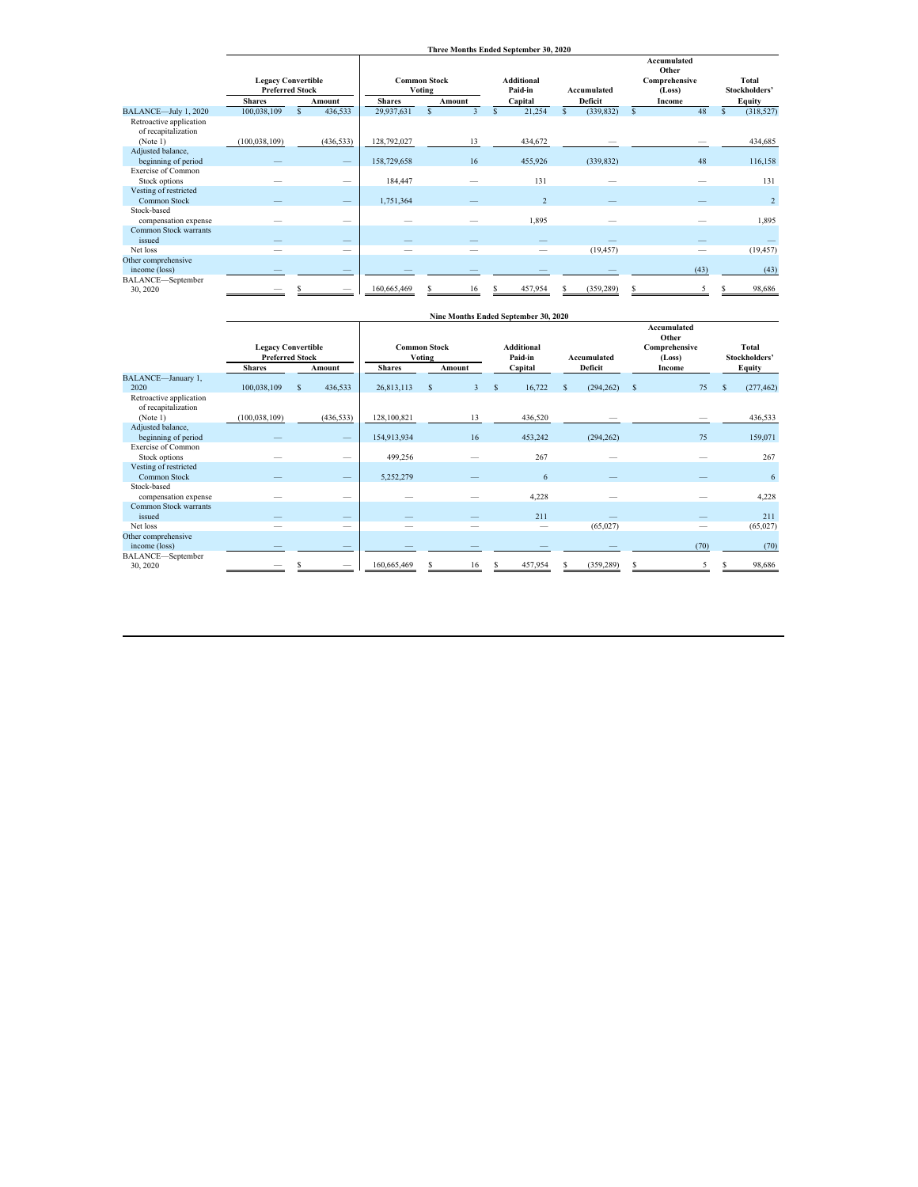|                                                |                 |                                                     |               |                               |              |   | Three Months Ended September 30, 2020 |              |            |              |                                                 |                            |
|------------------------------------------------|-----------------|-----------------------------------------------------|---------------|-------------------------------|--------------|---|---------------------------------------|--------------|------------|--------------|-------------------------------------------------|----------------------------|
|                                                |                 | <b>Legacy Convertible</b><br><b>Preferred Stock</b> |               | <b>Common Stock</b><br>Voting |              |   | Additional<br>Paid-in                 | Accumulated  |            |              | Accumulated<br>Other<br>Comprehensive<br>(Loss) | Total<br>Stockholders'     |
|                                                | <b>Shares</b>   | Amount                                              | <b>Shares</b> |                               | Amount       |   | Capital                               |              | Deficit    |              | Income                                          | Equity                     |
| BALANCE-July 1, 2020                           | 100,038,109     | 436,533<br>$\mathbf{s}$                             | 29,937,631    | S                             | $\mathbf{3}$ | S | 21,254                                | $\mathbf{s}$ | (339, 832) | $\mathsf{s}$ | 48                                              | $\mathbf{s}$<br>(318, 527) |
| Retroactive application<br>of recapitalization |                 |                                                     |               |                               |              |   |                                       |              |            |              |                                                 |                            |
| (Note 1)                                       | (100, 038, 109) | (436, 533)                                          | 128,792,027   |                               | 13           |   | 434,672                               |              |            |              |                                                 | 434,685                    |
| Adjusted balance,                              |                 |                                                     |               |                               |              |   |                                       |              |            |              |                                                 |                            |
| beginning of period                            |                 |                                                     | 158,729,658   |                               | 16           |   | 455,926                               |              | (339, 832) |              | 48                                              | 116,158                    |
| <b>Exercise of Common</b><br>Stock options     |                 | -                                                   | 184,447       |                               |              |   | 131                                   |              |            |              |                                                 | 131                        |
| Vesting of restricted<br>Common Stock          |                 |                                                     | 1,751,364     |                               |              |   | $\overline{c}$                        |              |            |              |                                                 | $\overline{2}$             |
| Stock-based<br>compensation expense            |                 | --                                                  |               |                               |              |   | 1,895                                 |              |            |              |                                                 | 1,895                      |
| Common Stock warrants<br>issued                |                 | -                                                   |               |                               |              |   |                                       |              |            |              |                                                 |                            |
| Net loss                                       |                 | -                                                   |               |                               |              |   |                                       |              | (19, 457)  |              |                                                 | (19, 457)                  |
| Other comprehensive                            |                 |                                                     |               |                               |              |   |                                       |              |            |              |                                                 |                            |
| income (loss)                                  |                 |                                                     |               |                               |              |   |                                       |              |            |              | (43)                                            | (43)                       |
| BALANCE-September<br>30, 2020                  |                 |                                                     | 160,665,469   |                               | 16           |   | 457,954                               |              | (359, 289) |              |                                                 | 98,686                     |

|                                                            |                                                     |                          |             |                                                       |              | Nine Months Ended September 30, 2020 |                    |            |              |                                                        |   |                        |
|------------------------------------------------------------|-----------------------------------------------------|--------------------------|-------------|-------------------------------------------------------|--------------|--------------------------------------|--------------------|------------|--------------|--------------------------------------------------------|---|------------------------|
|                                                            | <b>Legacy Convertible</b><br><b>Preferred Stock</b> |                          |             | <b>Common Stock</b><br><b>Voting</b><br><b>Shares</b> |              |                                      | <b>Accumulated</b> |            |              | <b>Accumulated</b><br>Other<br>Comprehensive<br>(Loss) |   | Total<br>Stockholders' |
| BALANCE-January 1,                                         | <b>Shares</b>                                       | Amount                   |             | Amount                                                |              | Capital                              |                    | Deficit    |              | Income                                                 |   | <b>Equity</b>          |
| 2020                                                       | 100,038,109                                         | 436,533<br>s             | 26,813,113  | $\overline{\mathbf{3}}$<br>S                          | $\mathbf{s}$ | 16,722                               | $\mathbf{s}$       | (294, 262) | $\mathbf{s}$ | 75                                                     | S | (277, 462)             |
| Retroactive application<br>of recapitalization<br>(Note 1) | (100, 038, 109)                                     | (436, 533)               | 128,100,821 | 13                                                    |              | 436,520                              |                    |            |              |                                                        |   | 436,533                |
| Adjusted balance,                                          |                                                     |                          |             |                                                       |              |                                      |                    |            |              |                                                        |   |                        |
| beginning of period                                        |                                                     | $\qquad \qquad$          | 154,913,934 | 16                                                    |              | 453,242                              |                    | (294, 262) |              | 75                                                     |   | 159,071                |
| Exercise of Common                                         |                                                     |                          |             |                                                       |              |                                      |                    |            |              |                                                        |   |                        |
| Stock options                                              |                                                     |                          | 499,256     |                                                       |              | 267                                  |                    |            |              |                                                        |   | 267                    |
| Vesting of restricted                                      |                                                     |                          |             |                                                       |              |                                      |                    |            |              |                                                        |   |                        |
| Common Stock<br>Stock-based                                |                                                     |                          | 5,252,279   |                                                       |              | 6                                    |                    |            |              |                                                        |   | 6                      |
| compensation expense                                       |                                                     | --                       |             |                                                       |              | 4,228                                |                    |            |              |                                                        |   | 4,228                  |
| Common Stock warrants<br>issued                            |                                                     | $\overline{\phantom{0}}$ |             |                                                       |              | 211                                  |                    |            |              |                                                        |   | 211                    |
| Net loss                                                   |                                                     | -                        |             |                                                       |              |                                      |                    | (65,027)   |              |                                                        |   | (65,027)               |
| Other comprehensive                                        |                                                     |                          |             |                                                       |              |                                      |                    |            |              |                                                        |   |                        |
| income (loss)                                              |                                                     |                          |             |                                                       |              |                                      |                    |            |              | (70)                                                   |   | (70)                   |
| BALANCE-September                                          |                                                     |                          | 160,665,469 | 16                                                    |              | 457,954                              |                    | (359, 289) |              |                                                        |   | 98,686                 |
| 30, 2020                                                   |                                                     |                          |             |                                                       |              |                                      |                    |            |              |                                                        |   |                        |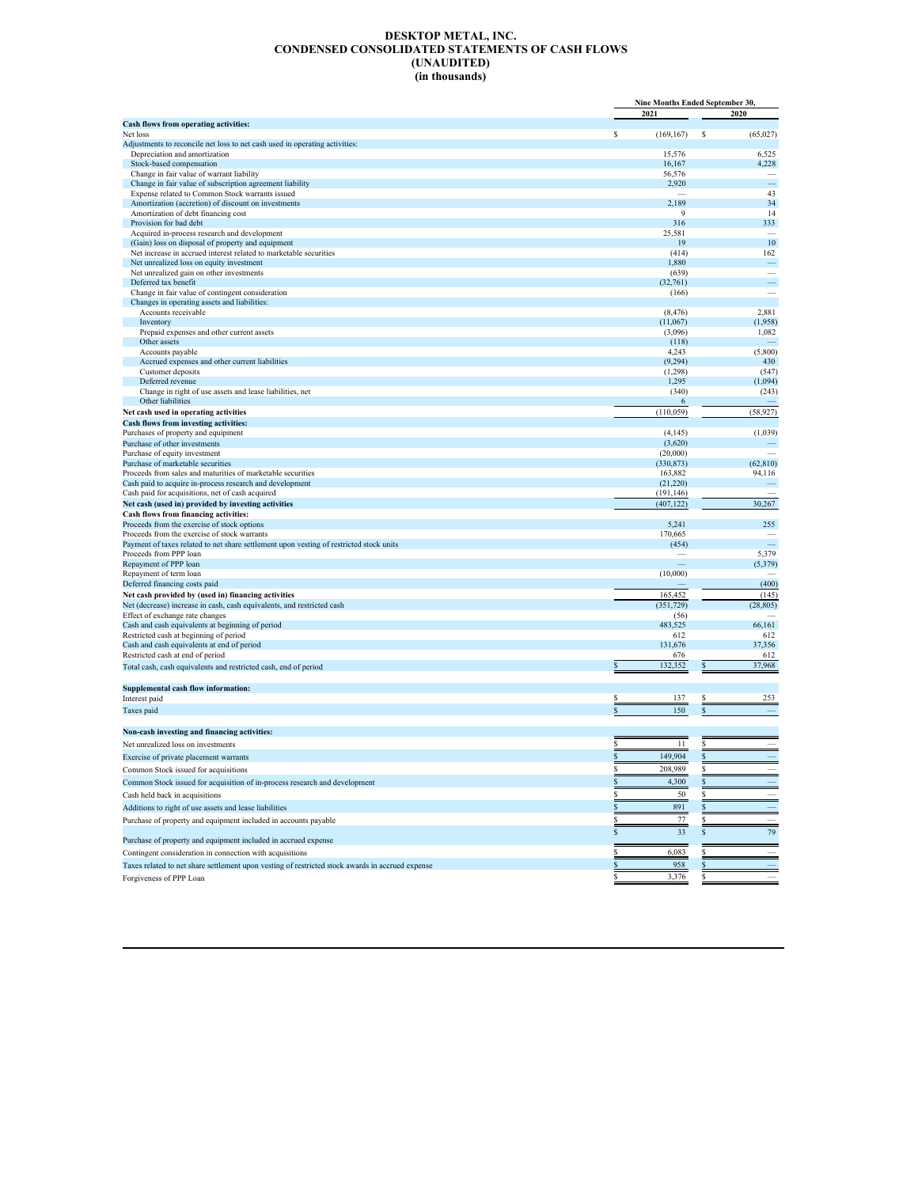#### **DESKTOP METAL, INC. CONDENSED CONSOLIDATED STATEMENTS OF CASH FLOWS (UNAUDITED) (in thousands)**

|                                                                                                                                         |                     | Nine Months Ended September 30. |  |  |
|-----------------------------------------------------------------------------------------------------------------------------------------|---------------------|---------------------------------|--|--|
|                                                                                                                                         | 2021                | 2020                            |  |  |
| Cash flows from operating activities:                                                                                                   |                     |                                 |  |  |
| Net loss<br>Adjustments to reconcile net loss to net cash used in operating activities:                                                 | \$<br>(169, 167)    | S<br>(65, 027)                  |  |  |
| Depreciation and amortization                                                                                                           | 15,576              | 6,525                           |  |  |
| Stock-based compensation                                                                                                                | 16,167              | 4,228                           |  |  |
| Change in fair value of warrant liability                                                                                               | 56,576              |                                 |  |  |
| Change in fair value of subscription agreement liability                                                                                | 2,920               | ÷.                              |  |  |
| Expense related to Common Stock warrants issued                                                                                         |                     | 43                              |  |  |
| Amortization (accretion) of discount on investments<br>Amortization of debt financing cost                                              | 2,189               | 34<br>14<br>9                   |  |  |
| Provision for bad debt                                                                                                                  | 316                 | 333                             |  |  |
| Acquired in-process research and development                                                                                            | 25,581              |                                 |  |  |
| (Gain) loss on disposal of property and equipment                                                                                       | 19                  | 10                              |  |  |
| Net increase in accrued interest related to marketable securities                                                                       | (414)               | 162                             |  |  |
| Net unrealized loss on equity investment                                                                                                | 1,880               |                                 |  |  |
| Net unrealized gain on other investments<br>Deferred tax benefit                                                                        | (639)<br>(32,761)   | ÷.                              |  |  |
| Change in fair value of contingent consideration                                                                                        | (166)               |                                 |  |  |
| Changes in operating assets and liabilities:                                                                                            |                     |                                 |  |  |
| Accounts receivable                                                                                                                     | (8, 476)            | 2,881                           |  |  |
| Inventory                                                                                                                               | (11,067)            | (1,958)                         |  |  |
| Prepaid expenses and other current assets                                                                                               | (3,096)             | 1,082                           |  |  |
| Other assets                                                                                                                            | (118)               |                                 |  |  |
| Accounts payable<br>Accrued expenses and other current liabilities                                                                      | 4,243<br>(9, 294)   | (5,800)<br>430                  |  |  |
| Customer deposits                                                                                                                       | (1,298)             | (547)                           |  |  |
| Deferred revenue                                                                                                                        | 1,295               | (1,094)                         |  |  |
| Change in right of use assets and lease liabilities, net                                                                                | (340)               | (243)                           |  |  |
| Other liabilities                                                                                                                       |                     | 6                               |  |  |
| Net cash used in operating activities                                                                                                   | (110, 059)          | (58, 927)                       |  |  |
| Cash flows from investing activities:                                                                                                   |                     |                                 |  |  |
| Purchases of property and equipment                                                                                                     | (4, 145)            | (1,039)                         |  |  |
| Purchase of other investments<br>Purchase of equity investment                                                                          | (3,620)<br>(20,000) |                                 |  |  |
| Purchase of marketable securities                                                                                                       | (330, 873)          | (62, 810)                       |  |  |
| Proceeds from sales and maturities of marketable securities                                                                             | 163,882             | 94,116                          |  |  |
| Cash paid to acquire in-process research and development                                                                                | (21, 220)           |                                 |  |  |
| Cash paid for acquisitions, net of cash acquired                                                                                        | (191, 146)          |                                 |  |  |
| Net cash (used in) provided by investing activities                                                                                     | (407, 122)          | 30,267                          |  |  |
| Cash flows from financing activities:                                                                                                   |                     |                                 |  |  |
| Proceeds from the exercise of stock options                                                                                             | 5,241               | 255                             |  |  |
| Proceeds from the exercise of stock warrants<br>Payment of taxes related to net share settlement upon vesting of restricted stock units | 170,665<br>(454)    |                                 |  |  |
| Proceeds from PPP loan                                                                                                                  |                     | 5,379                           |  |  |
| Repayment of PPP loan                                                                                                                   |                     | (5, 379)                        |  |  |
| Repayment of term loan                                                                                                                  | (10,000)            |                                 |  |  |
| Deferred financing costs paid                                                                                                           |                     | (400)                           |  |  |
| Net cash provided by (used in) financing activities                                                                                     | 165,452             | (145)                           |  |  |
| Net (decrease) increase in cash, cash equivalents, and restricted cash                                                                  | (351, 729)          | (28, 805)                       |  |  |
| Effect of exchange rate changes<br>Cash and cash equivalents at beginning of period                                                     | (56)<br>483,525     | 66,161                          |  |  |
| Restricted cash at beginning of period                                                                                                  | 612                 | 612                             |  |  |
| Cash and cash equivalents at end of period                                                                                              | 131,676             | 37,356                          |  |  |
| Restricted cash at end of period                                                                                                        | 676                 | 612                             |  |  |
| Total cash, cash equivalents and restricted cash, end of period                                                                         | \$<br>132,352       | 37,968                          |  |  |
|                                                                                                                                         |                     |                                 |  |  |
| Supplemental cash flow information:                                                                                                     |                     |                                 |  |  |
| Interest paid                                                                                                                           | 137                 | 253                             |  |  |
| Taxes paid                                                                                                                              | 150<br>S            | S                               |  |  |
| Non-cash investing and financing activities:                                                                                            |                     |                                 |  |  |
|                                                                                                                                         |                     |                                 |  |  |
| Net unrealized loss on investments                                                                                                      | 11                  |                                 |  |  |
| Exercise of private placement warrants                                                                                                  | 149,904             |                                 |  |  |
| Common Stock issued for acquisitions                                                                                                    | 208,989             |                                 |  |  |
| Common Stock issued for acquisition of in-process research and development                                                              | 4,300               |                                 |  |  |
| Cash held back in acquisitions                                                                                                          | S<br>50             |                                 |  |  |
| Additions to right of use assets and lease liabilities                                                                                  | \$<br>891           |                                 |  |  |
| Purchase of property and equipment included in accounts payable                                                                         | \$<br>77            | S                               |  |  |
|                                                                                                                                         | \$<br>33            | 79<br>S                         |  |  |
| Purchase of property and equipment included in accrued expense                                                                          |                     |                                 |  |  |
| Contingent consideration in connection with acquisitions                                                                                | 6,083<br>S          |                                 |  |  |
| Taxes related to net share settlement upon vesting of restricted stock awards in accrued expense                                        | \$<br>958           | S                               |  |  |
| Forgiveness of PPP Loan                                                                                                                 | \$<br>3,376         | s                               |  |  |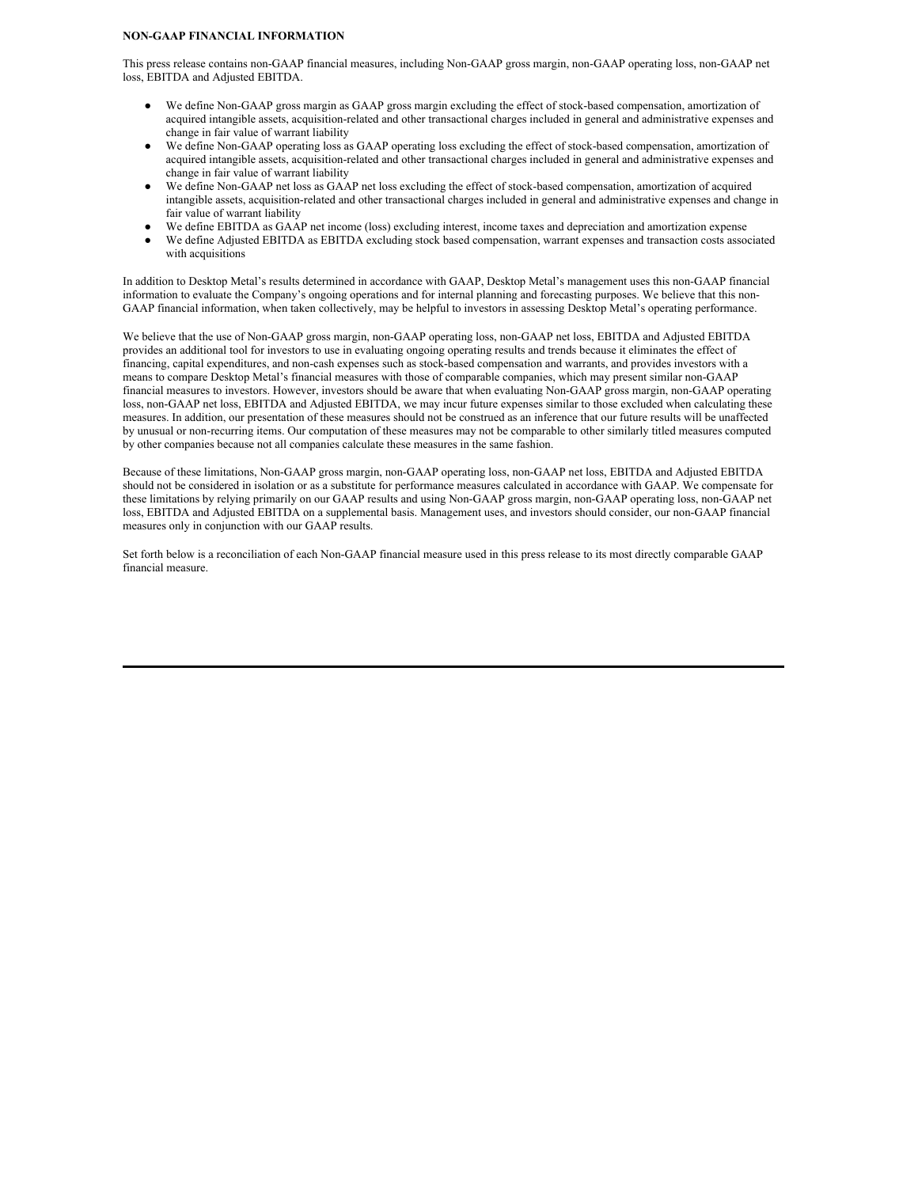#### **NON-GAAP FINANCIAL INFORMATION**

This press release contains non-GAAP financial measures, including Non-GAAP gross margin, non-GAAP operating loss, non-GAAP net loss, EBITDA and Adjusted EBITDA.

- We define Non-GAAP gross margin as GAAP gross margin excluding the effect of stock-based compensation, amortization of acquired intangible assets, acquisition-related and other transactional charges included in general and administrative expenses and change in fair value of warrant liability
- We define Non-GAAP operating loss as GAAP operating loss excluding the effect of stock-based compensation, amortization of acquired intangible assets, acquisition-related and other transactional charges included in general and administrative expenses and change in fair value of warrant liability
- We define Non-GAAP net loss as GAAP net loss excluding the effect of stock-based compensation, amortization of acquired intangible assets, acquisition-related and other transactional charges included in general and administrative expenses and change in fair value of warrant liability
- We define EBITDA as GAAP net income (loss) excluding interest, income taxes and depreciation and amortization expense
- We define Adjusted EBITDA as EBITDA excluding stock based compensation, warrant expenses and transaction costs associated with acquisitions

In addition to Desktop Metal's results determined in accordance with GAAP, Desktop Metal's management uses this non-GAAP financial information to evaluate the Company's ongoing operations and for internal planning and forecasting purposes. We believe that this non-GAAP financial information, when taken collectively, may be helpful to investors in assessing Desktop Metal's operating performance.

We believe that the use of Non-GAAP gross margin, non-GAAP operating loss, non-GAAP net loss, EBITDA and Adjusted EBITDA provides an additional tool for investors to use in evaluating ongoing operating results and trends because it eliminates the effect of financing, capital expenditures, and non-cash expenses such as stock-based compensation and warrants, and provides investors with a means to compare Desktop Metal's financial measures with those of comparable companies, which may present similar non-GAAP financial measures to investors. However, investors should be aware that when evaluating Non-GAAP gross margin, non-GAAP operating loss, non-GAAP net loss, EBITDA and Adjusted EBITDA, we may incur future expenses similar to those excluded when calculating these measures. In addition, our presentation of these measures should not be construed as an inference that our future results will be unaffected by unusual or non-recurring items. Our computation of these measures may not be comparable to other similarly titled measures computed by other companies because not all companies calculate these measures in the same fashion.

Because of these limitations, Non-GAAP gross margin, non-GAAP operating loss, non-GAAP net loss, EBITDA and Adjusted EBITDA should not be considered in isolation or as a substitute for performance measures calculated in accordance with GAAP. We compensate for these limitations by relying primarily on our GAAP results and using Non-GAAP gross margin, non-GAAP operating loss, non-GAAP net loss, EBITDA and Adjusted EBITDA on a supplemental basis. Management uses, and investors should consider, our non-GAAP financial measures only in conjunction with our GAAP results.

Set forth below is a reconciliation of each Non-GAAP financial measure used in this press release to its most directly comparable GAAP financial measure.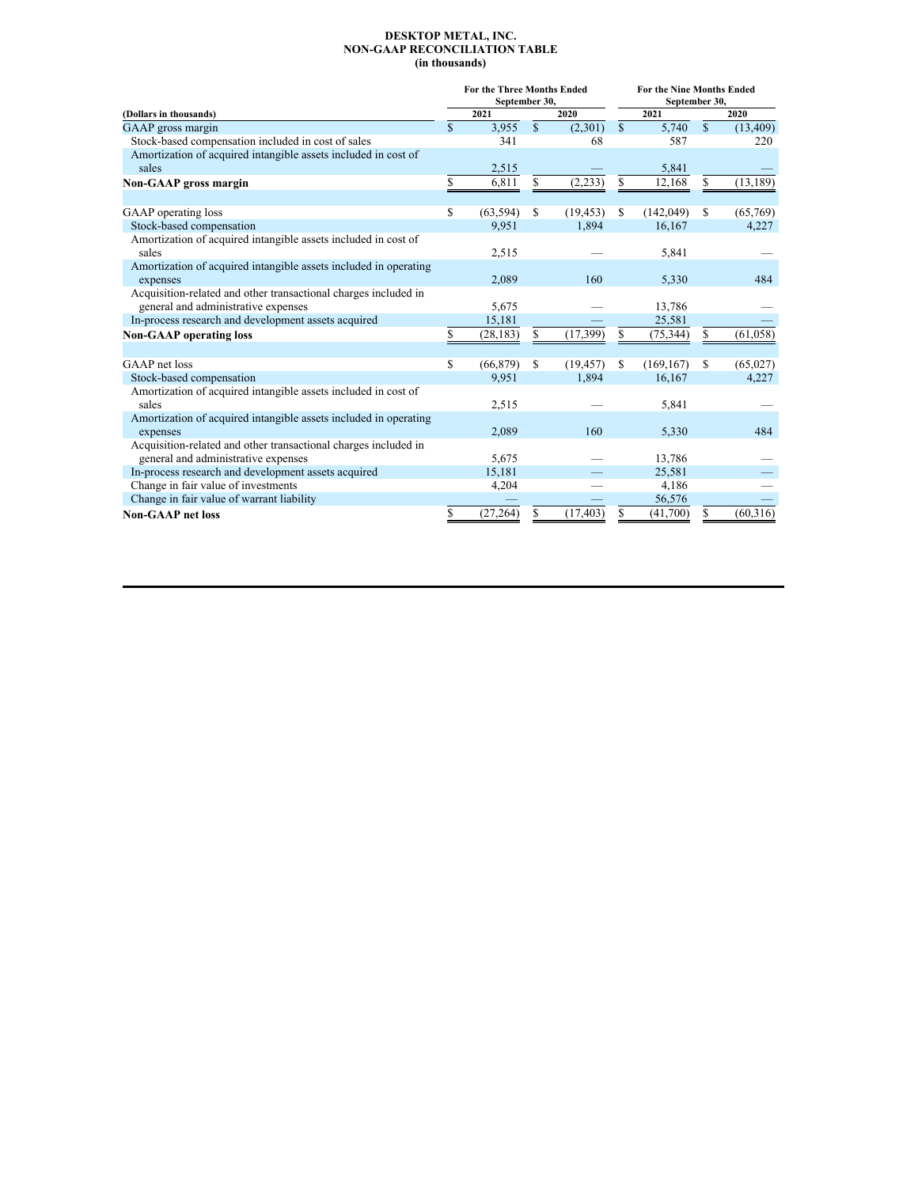#### **DESKTOP METAL, INC. NON-GAAP RECONCILIATION TABLE (in thousands)**

|                                                                  |             | <b>For the Three Months Ended</b><br>September 30, |              |           | For the Nine Months Ended<br>September 30, |            |             |           |  |  |  |
|------------------------------------------------------------------|-------------|----------------------------------------------------|--------------|-----------|--------------------------------------------|------------|-------------|-----------|--|--|--|
| (Dollars in thousands)                                           |             | 2021                                               |              | 2020      |                                            | 2021       |             | 2020      |  |  |  |
| GAAP gross margin                                                | $\mathbf S$ | 3.955                                              | $\mathbb{S}$ | (2,301)   | $\mathbf S$                                | 5.740      | $\mathbf S$ | (13, 409) |  |  |  |
| Stock-based compensation included in cost of sales               |             | 341                                                |              | 68        |                                            | 587        |             | 220       |  |  |  |
| Amortization of acquired intangible assets included in cost of   |             |                                                    |              |           |                                            |            |             |           |  |  |  |
| sales                                                            |             | 2,515                                              |              |           |                                            | 5,841      |             |           |  |  |  |
| Non-GAAP gross margin                                            | S           | 6,811                                              | \$           | (2, 233)  | S                                          | 12,168     | \$          | (13, 189) |  |  |  |
|                                                                  |             |                                                    |              |           |                                            |            |             |           |  |  |  |
| GAAP operating loss                                              | S           | (63, 594)                                          | S            | (19, 453) | S                                          | (142, 049) | \$          | (65,769)  |  |  |  |
| Stock-based compensation                                         |             | 9,951                                              |              | 1,894     |                                            | 16,167     |             | 4,227     |  |  |  |
| Amortization of acquired intangible assets included in cost of   |             |                                                    |              |           |                                            |            |             |           |  |  |  |
| sales                                                            |             | 2,515                                              |              |           |                                            | 5,841      |             |           |  |  |  |
| Amortization of acquired intangible assets included in operating |             |                                                    |              |           |                                            |            |             |           |  |  |  |
| expenses                                                         |             | 2,089                                              |              | 160       |                                            | 5,330      |             | 484       |  |  |  |
| Acquisition-related and other transactional charges included in  |             |                                                    |              |           |                                            |            |             |           |  |  |  |
| general and administrative expenses                              |             | 5,675                                              |              |           |                                            | 13,786     |             |           |  |  |  |
| In-process research and development assets acquired              |             | 15,181                                             |              |           |                                            | 25,581     |             |           |  |  |  |
| <b>Non-GAAP</b> operating loss                                   | S           | (28, 183)                                          | S            | (17, 399) | S                                          | (75, 344)  | \$          | (61,058)  |  |  |  |
|                                                                  |             |                                                    |              |           |                                            |            |             |           |  |  |  |
| GAAP net loss                                                    | S           | (66, 879)                                          | S            | (19, 457) | \$.                                        | (169, 167) | \$          | (65,027)  |  |  |  |
| Stock-based compensation                                         |             | 9,951                                              |              | 1,894     |                                            | 16,167     |             | 4,227     |  |  |  |
| Amortization of acquired intangible assets included in cost of   |             |                                                    |              |           |                                            |            |             |           |  |  |  |
| sales                                                            |             | 2,515                                              |              |           |                                            | 5,841      |             |           |  |  |  |
| Amortization of acquired intangible assets included in operating |             |                                                    |              |           |                                            |            |             |           |  |  |  |
| expenses                                                         |             | 2,089                                              |              | 160       |                                            | 5,330      |             | 484       |  |  |  |
| Acquisition-related and other transactional charges included in  |             |                                                    |              |           |                                            |            |             |           |  |  |  |
| general and administrative expenses                              |             | 5,675                                              |              |           |                                            | 13,786     |             |           |  |  |  |
| In-process research and development assets acquired              |             | 15,181                                             |              |           |                                            | 25,581     |             |           |  |  |  |
| Change in fair value of investments                              |             | 4,204                                              |              |           |                                            | 4,186      |             |           |  |  |  |
| Change in fair value of warrant liability                        |             |                                                    |              |           |                                            | 56,576     |             |           |  |  |  |
| <b>Non-GAAP</b> net loss                                         | \$          | (27, 264)                                          | S            | (17, 403) | S                                          | (41,700)   | \$          | (60, 316) |  |  |  |